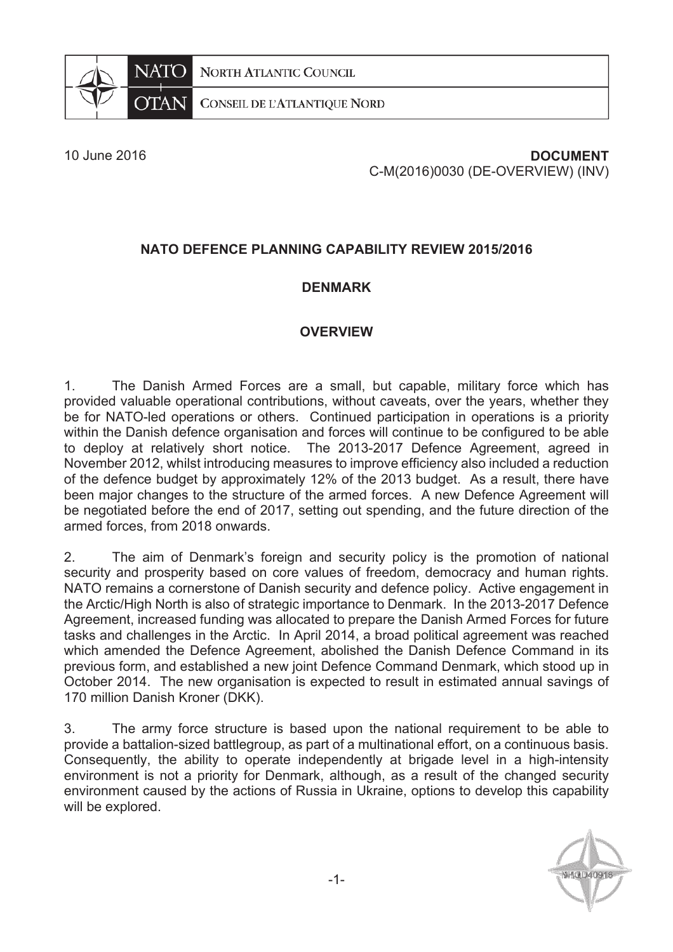**NORTH ATLANTIC COUNCIL** 



CONSEIL DE L'ATLANTIQUE NORD

# 10 June 2016 **DOCUMENT** C-M(2016)0030 (DE-OVERVIEW) (INV)

# **NATO DEFENCE PLANNING CAPABILITY REVIEW 2015/2016**

## **DENMARK**

## **OVERVIEW**

1. The Danish Armed Forces are a small, but capable, military force which has provided valuable operational contributions, without caveats, over the years, whether they be for NATO-led operations or others. Continued participation in operations is a priority within the Danish defence organisation and forces will continue to be configured to be able to deploy at relatively short notice. The 2013-2017 Defence Agreement, agreed in November 2012, whilst introducing measures to improve efficiency also included a reduction of the defence budget by approximately 12% of the 2013 budget. As a result, there have been major changes to the structure of the armed forces. A new Defence Agreement will be negotiated before the end of 2017, setting out spending, and the future direction of the armed forces, from 2018 onwards.

2. The aim of Denmark's foreign and security policy is the promotion of national security and prosperity based on core values of freedom, democracy and human rights. NATO remains a cornerstone of Danish security and defence policy. Active engagement in the Arctic/High North is also of strategic importance to Denmark. In the 2013-2017 Defence Agreement, increased funding was allocated to prepare the Danish Armed Forces for future tasks and challenges in the Arctic. In April 2014, a broad political agreement was reached which amended the Defence Agreement, abolished the Danish Defence Command in its previous form, and established a new joint Defence Command Denmark, which stood up in October 2014. The new organisation is expected to result in estimated annual savings of 170 million Danish Kroner (DKK).

3. The army force structure is based upon the national requirement to be able to provide a battalion-sized battlegroup, as part of a multinational effort, on a continuous basis. Consequently, the ability to operate independently at brigade level in a high-intensity environment is not a priority for Denmark, although, as a result of the changed security environment caused by the actions of Russia in Ukraine, options to develop this capability will be explored.

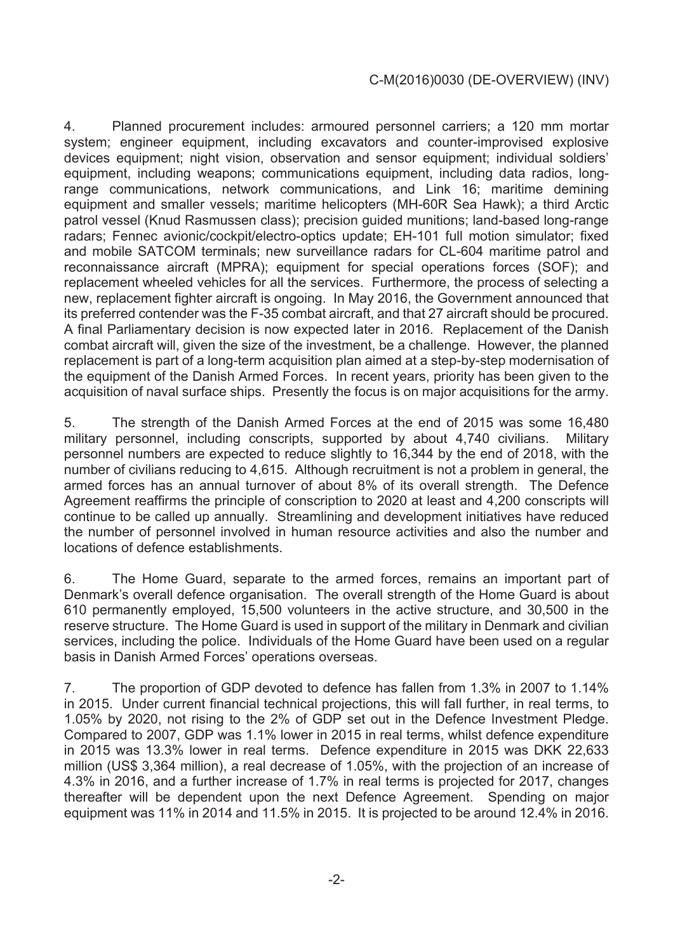4. Planned procurement includes: armoured personnel carriers; a 120 mm mortar system; engineer equipment, including excavators and counter-improvised explosive devices equipment; night vision, observation and sensor equipment; individual soldiers' equipment, including weapons; communications equipment, including data radios, longrange communications, network communications, and Link 16; maritime demining equipment and smaller vessels; maritime helicopters (MH-60R Sea Hawk); a third Arctic patrol vessel (Knud Rasmussen class); precision guided munitions; land-based long-range radars; Fennec avionic/cockpit/electro-optics update; EH-101 full motion simulator; fixed and mobile SATCOM terminals; new surveillance radars for CL-604 maritime patrol and reconnaissance aircraft (MPRA); equipment for special operations forces (SOF); and replacement wheeled vehicles for all the services. Furthermore, the process of selecting a new, replacement fighter aircraft is ongoing. In May 2016, the Government announced that its preferred contender was the F-35 combat aircraft, and that 27 aircraft should be procured. A final Parliamentary decision is now expected later in 2016. Replacement of the Danish combat aircraft will, given the size of the investment, be a challenge. However, the planned replacement is part of a long-term acquisition plan aimed at a step-by-step modernisation of the equipment of the Danish Armed Forces. In recent years, priority has been given to the acquisition of naval surface ships. Presently the focus is on major acquisitions for the army.

5. The strength of the Danish Armed Forces at the end of 2015 was some 16,480 military personnel, including conscripts, supported by about 4,740 civilians. Military personnel numbers are expected to reduce slightly to 16,344 by the end of 2018, with the number of civilians reducing to 4,615. Although recruitment is not a problem in general, the armed forces has an annual turnover of about 8% of its overall strength. The Defence Agreement reaffirms the principle of conscription to 2020 at least and 4,200 conscripts will continue to be called up annually. Streamlining and development initiatives have reduced the number of personnel involved in human resource activities and also the number and locations of defence establishments.

6. The Home Guard, separate to the armed forces, remains an important part of Denmark's overall defence organisation. The overall strength of the Home Guard is about 610 permanently employed, 15,500 volunteers in the active structure, and 30,500 in the reserve structure. The Home Guard is used in support of the military in Denmark and civilian services, including the police. Individuals of the Home Guard have been used on a regular basis in Danish Armed Forces' operations overseas.

7. The proportion of GDP devoted to defence has fallen from 1.3% in 2007 to 1.14% in 2015. Under current financial technical projections, this will fall further, in real terms, to 1.05% by 2020, not rising to the 2% of GDP set out in the Defence Investment Pledge. Compared to 2007, GDP was 1.1% lower in 2015 in real terms, whilst defence expenditure in 2015 was 13.3% lower in real terms. Defence expenditure in 2015 was DKK 22,633 million (US\$ 3,364 million), a real decrease of 1.05%, with the projection of an increase of 4.3% in 2016, and a further increase of 1.7% in real terms is projected for 2017, changes thereafter will be dependent upon the next Defence Agreement. Spending on major equipment was 11% in 2014 and 11.5% in 2015. It is projected to be around 12.4% in 2016.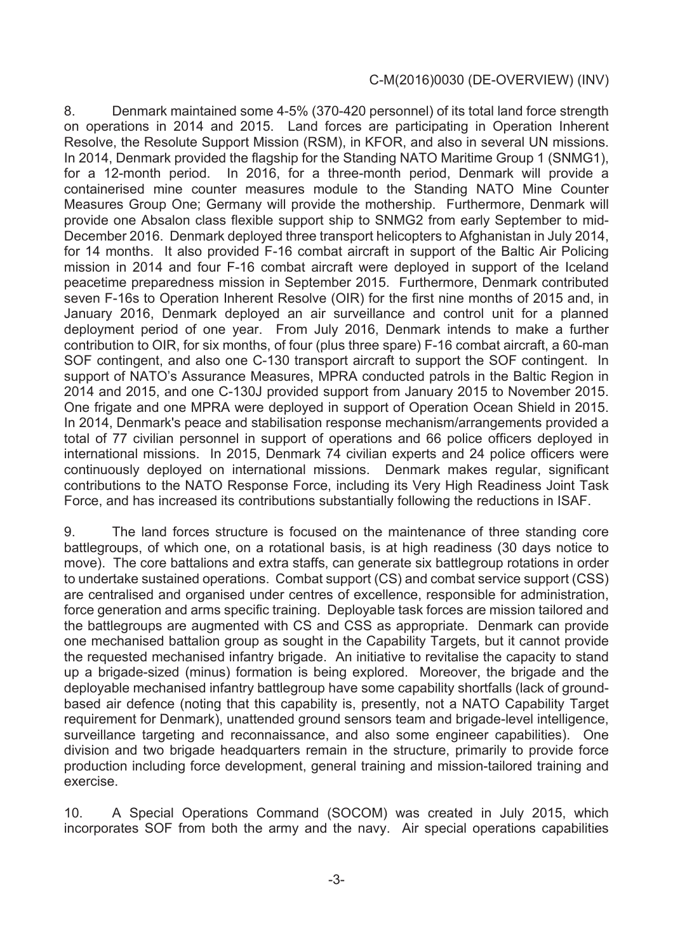8. Denmark maintained some 4-5% (370-420 personnel) of its total land force strength on operations in 2014 and 2015. Land forces are participating in Operation Inherent Resolve, the Resolute Support Mission (RSM), in KFOR, and also in several UN missions. In 2014, Denmark provided the flagship for the Standing NATO Maritime Group 1 (SNMG1), for a 12-month period. In 2016, for a three-month period, Denmark will provide a containerised mine counter measures module to the Standing NATO Mine Counter Measures Group One; Germany will provide the mothership. Furthermore, Denmark will provide one Absalon class flexible support ship to SNMG2 from early September to mid-December 2016. Denmark deployed three transport helicopters to Afghanistan in July 2014, for 14 months. It also provided F-16 combat aircraft in support of the Baltic Air Policing mission in 2014 and four F-16 combat aircraft were deployed in support of the Iceland peacetime preparedness mission in September 2015. Furthermore, Denmark contributed seven F-16s to Operation Inherent Resolve (OIR) for the first nine months of 2015 and, in January 2016, Denmark deployed an air surveillance and control unit for a planned deployment period of one year. From July 2016, Denmark intends to make a further contribution to OIR, for six months, of four (plus three spare) F-16 combat aircraft, a 60-man SOF contingent, and also one C-130 transport aircraft to support the SOF contingent. In support of NATO's Assurance Measures, MPRA conducted patrols in the Baltic Region in 2014 and 2015, and one C-130J provided support from January 2015 to November 2015. One frigate and one MPRA were deployed in support of Operation Ocean Shield in 2015. In 2014, Denmark's peace and stabilisation response mechanism/arrangements provided a total of 77 civilian personnel in support of operations and 66 police officers deployed in international missions. In 2015, Denmark 74 civilian experts and 24 police officers were continuously deployed on international missions. Denmark makes regular, significant contributions to the NATO Response Force, including its Very High Readiness Joint Task Force, and has increased its contributions substantially following the reductions in ISAF.

9. The land forces structure is focused on the maintenance of three standing core battlegroups, of which one, on a rotational basis, is at high readiness (30 days notice to move). The core battalions and extra staffs, can generate six battlegroup rotations in order to undertake sustained operations. Combat support (CS) and combat service support (CSS) are centralised and organised under centres of excellence, responsible for administration, force generation and arms specific training. Deployable task forces are mission tailored and the battlegroups are augmented with CS and CSS as appropriate. Denmark can provide one mechanised battalion group as sought in the Capability Targets, but it cannot provide the requested mechanised infantry brigade. An initiative to revitalise the capacity to stand up a brigade-sized (minus) formation is being explored. Moreover, the brigade and the deployable mechanised infantry battlegroup have some capability shortfalls (lack of groundbased air defence (noting that this capability is, presently, not a NATO Capability Target requirement for Denmark), unattended ground sensors team and brigade-level intelligence, surveillance targeting and reconnaissance, and also some engineer capabilities). One division and two brigade headquarters remain in the structure, primarily to provide force production including force development, general training and mission-tailored training and exercise.

10. A Special Operations Command (SOCOM) was created in July 2015, which incorporates SOF from both the army and the navy. Air special operations capabilities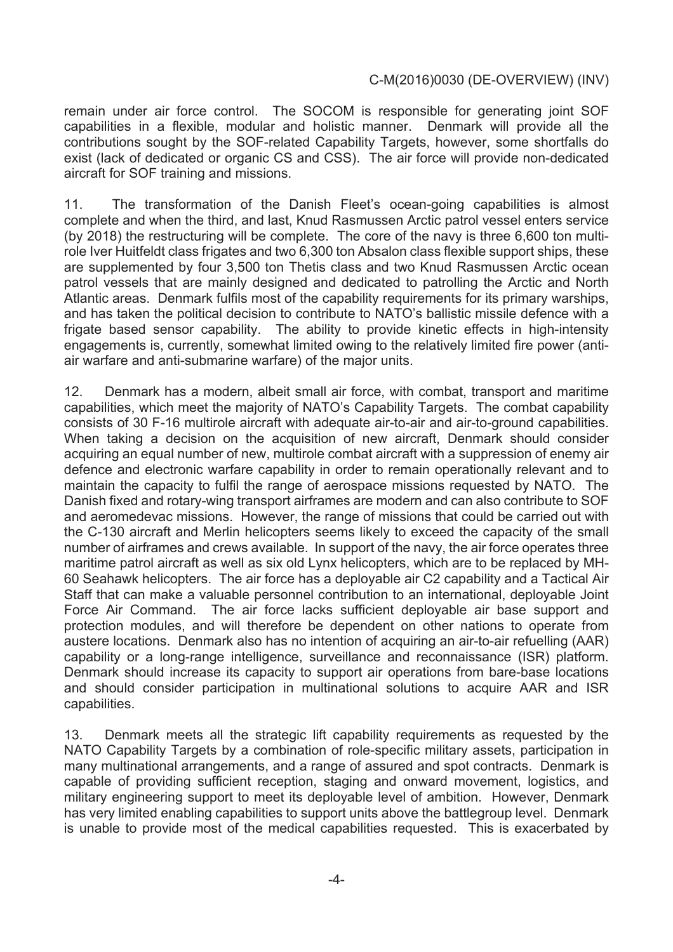remain under air force control. The SOCOM is responsible for generating joint SOF capabilities in a flexible, modular and holistic manner. Denmark will provide all the contributions sought by the SOF-related Capability Targets, however, some shortfalls do exist (lack of dedicated or organic CS and CSS). The air force will provide non-dedicated aircraft for SOF training and missions.

11. The transformation of the Danish Fleet's ocean-going capabilities is almost complete and when the third, and last, Knud Rasmussen Arctic patrol vessel enters service (by 2018) the restructuring will be complete. The core of the navy is three 6,600 ton multirole Iver Huitfeldt class frigates and two 6,300 ton Absalon class flexible support ships, these are supplemented by four 3,500 ton Thetis class and two Knud Rasmussen Arctic ocean patrol vessels that are mainly designed and dedicated to patrolling the Arctic and North Atlantic areas. Denmark fulfils most of the capability requirements for its primary warships, and has taken the political decision to contribute to NATO's ballistic missile defence with a frigate based sensor capability. The ability to provide kinetic effects in high-intensity engagements is, currently, somewhat limited owing to the relatively limited fire power (antiair warfare and anti-submarine warfare) of the major units.

12. Denmark has a modern, albeit small air force, with combat, transport and maritime capabilities, which meet the majority of NATO's Capability Targets. The combat capability consists of 30 F-16 multirole aircraft with adequate air-to-air and air-to-ground capabilities. When taking a decision on the acquisition of new aircraft, Denmark should consider acquiring an equal number of new, multirole combat aircraft with a suppression of enemy air defence and electronic warfare capability in order to remain operationally relevant and to maintain the capacity to fulfil the range of aerospace missions requested by NATO. The Danish fixed and rotary-wing transport airframes are modern and can also contribute to SOF and aeromedevac missions. However, the range of missions that could be carried out with the C-130 aircraft and Merlin helicopters seems likely to exceed the capacity of the small number of airframes and crews available. In support of the navy, the air force operates three maritime patrol aircraft as well as six old Lynx helicopters, which are to be replaced by MH-60 Seahawk helicopters. The air force has a deployable air C2 capability and a Tactical Air Staff that can make a valuable personnel contribution to an international, deployable Joint Force Air Command. The air force lacks sufficient deployable air base support and protection modules, and will therefore be dependent on other nations to operate from austere locations. Denmark also has no intention of acquiring an air-to-air refuelling (AAR) capability or a long-range intelligence, surveillance and reconnaissance (ISR) platform. Denmark should increase its capacity to support air operations from bare-base locations and should consider participation in multinational solutions to acquire AAR and ISR capabilities.

13. Denmark meets all the strategic lift capability requirements as requested by the NATO Capability Targets by a combination of role-specific military assets, participation in many multinational arrangements, and a range of assured and spot contracts. Denmark is capable of providing sufficient reception, staging and onward movement, logistics, and military engineering support to meet its deployable level of ambition. However, Denmark has very limited enabling capabilities to support units above the battlegroup level. Denmark is unable to provide most of the medical capabilities requested. This is exacerbated by